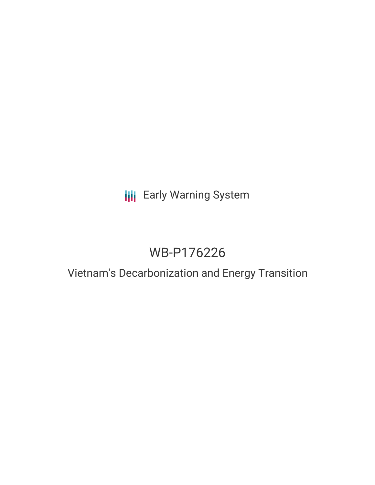# **III** Early Warning System

# WB-P176226

### Vietnam's Decarbonization and Energy Transition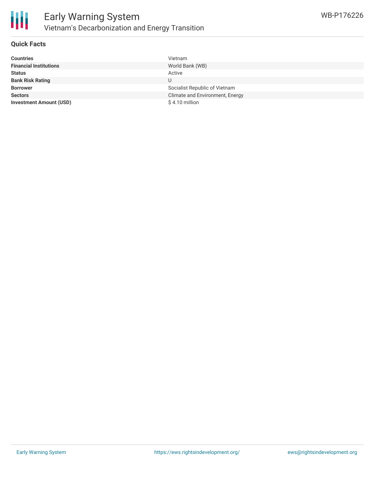

#### **Quick Facts**

| <b>Countries</b>               | Vietnam                         |
|--------------------------------|---------------------------------|
| <b>Financial Institutions</b>  | World Bank (WB)                 |
| <b>Status</b>                  | Active                          |
| <b>Bank Risk Rating</b>        | U                               |
| <b>Borrower</b>                | Socialist Republic of Vietnam   |
| <b>Sectors</b>                 | Climate and Environment, Energy |
| <b>Investment Amount (USD)</b> | $$4.10$ million                 |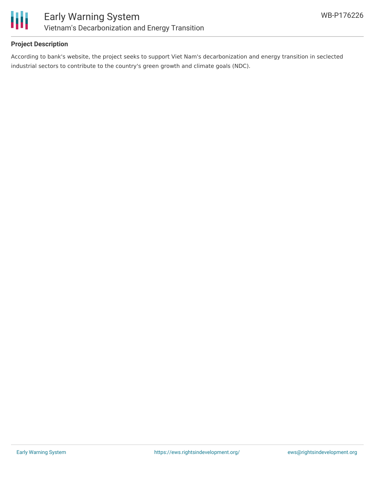

#### **Project Description**

According to bank's website, the project seeks to support Viet Nam's decarbonization and energy transition in seclected industrial sectors to contribute to the country's green growth and climate goals (NDC).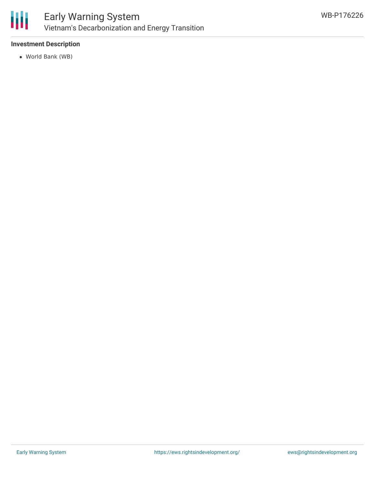

#### **Investment Description**

World Bank (WB)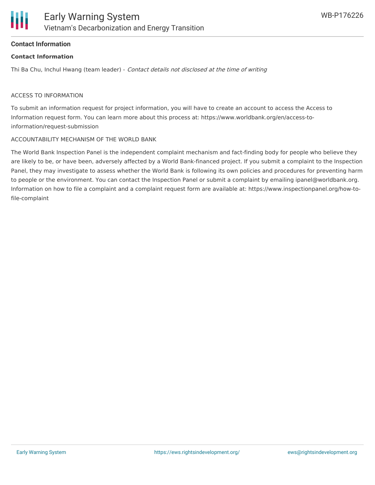#### **Contact Information**

#### **Contact Information**

Thi Ba Chu, Inchul Hwang (team leader) - Contact details not disclosed at the time of writing

#### ACCESS TO INFORMATION

To submit an information request for project information, you will have to create an account to access the Access to Information request form. You can learn more about this process at: https://www.worldbank.org/en/access-toinformation/request-submission

#### ACCOUNTABILITY MECHANISM OF THE WORLD BANK

The World Bank Inspection Panel is the independent complaint mechanism and fact-finding body for people who believe they are likely to be, or have been, adversely affected by a World Bank-financed project. If you submit a complaint to the Inspection Panel, they may investigate to assess whether the World Bank is following its own policies and procedures for preventing harm to people or the environment. You can contact the Inspection Panel or submit a complaint by emailing ipanel@worldbank.org. Information on how to file a complaint and a complaint request form are available at: https://www.inspectionpanel.org/how-tofile-complaint